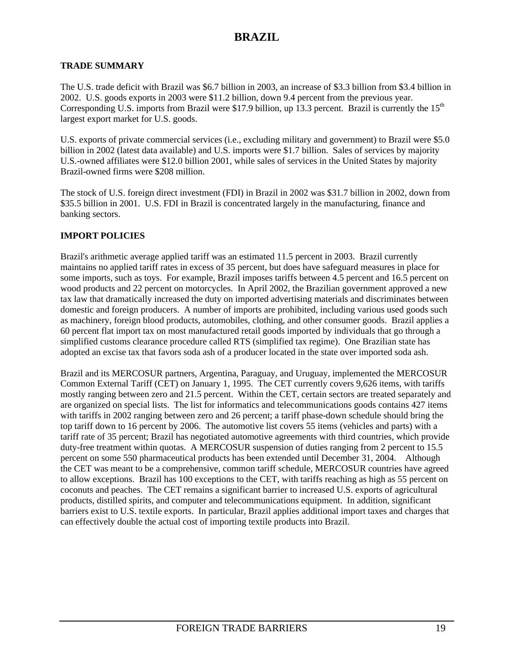### **TRADE SUMMARY**

The U.S. trade deficit with Brazil was \$6.7 billion in 2003, an increase of \$3.3 billion from \$3.4 billion in 2002. U.S. goods exports in 2003 were \$11.2 billion, down 9.4 percent from the previous year. Corresponding U.S. imports from Brazil were \$17.9 billion, up 13.3 percent. Brazil is currently the  $15<sup>th</sup>$ largest export market for U.S. goods.

U.S. exports of private commercial services (i.e., excluding military and government) to Brazil were \$5.0 billion in 2002 (latest data available) and U.S. imports were \$1.7 billion. Sales of services by majority U.S.-owned affiliates were \$12.0 billion 2001, while sales of services in the United States by majority Brazil-owned firms were \$208 million.

The stock of U.S. foreign direct investment (FDI) in Brazil in 2002 was \$31.7 billion in 2002, down from \$35.5 billion in 2001. U.S. FDI in Brazil is concentrated largely in the manufacturing, finance and banking sectors.

### **IMPORT POLICIES**

Brazil's arithmetic average applied tariff was an estimated 11.5 percent in 2003. Brazil currently maintains no applied tariff rates in excess of 35 percent, but does have safeguard measures in place for some imports, such as toys. For example, Brazil imposes tariffs between 4.5 percent and 16.5 percent on wood products and 22 percent on motorcycles. In April 2002, the Brazilian government approved a new tax law that dramatically increased the duty on imported advertising materials and discriminates between domestic and foreign producers. A number of imports are prohibited, including various used goods such as machinery, foreign blood products, automobiles, clothing, and other consumer goods. Brazil applies a 60 percent flat import tax on most manufactured retail goods imported by individuals that go through a simplified customs clearance procedure called RTS (simplified tax regime). One Brazilian state has adopted an excise tax that favors soda ash of a producer located in the state over imported soda ash.

Brazil and its MERCOSUR partners, Argentina, Paraguay, and Uruguay, implemented the MERCOSUR Common External Tariff (CET) on January 1, 1995. The CET currently covers 9,626 items, with tariffs mostly ranging between zero and 21.5 percent. Within the CET, certain sectors are treated separately and are organized on special lists. The list for informatics and telecommunications goods contains 427 items with tariffs in 2002 ranging between zero and 26 percent; a tariff phase-down schedule should bring the top tariff down to 16 percent by 2006. The automotive list covers 55 items (vehicles and parts) with a tariff rate of 35 percent; Brazil has negotiated automotive agreements with third countries, which provide duty-free treatment within quotas. A MERCOSUR suspension of duties ranging from 2 percent to 15.5 percent on some 550 pharmaceutical products has been extended until December 31, 2004. Although the CET was meant to be a comprehensive, common tariff schedule, MERCOSUR countries have agreed to allow exceptions. Brazil has 100 exceptions to the CET, with tariffs reaching as high as 55 percent on coconuts and peaches. The CET remains a significant barrier to increased U.S. exports of agricultural products, distilled spirits, and computer and telecommunications equipment. In addition, significant barriers exist to U.S. textile exports. In particular, Brazil applies additional import taxes and charges that can effectively double the actual cost of importing textile products into Brazil.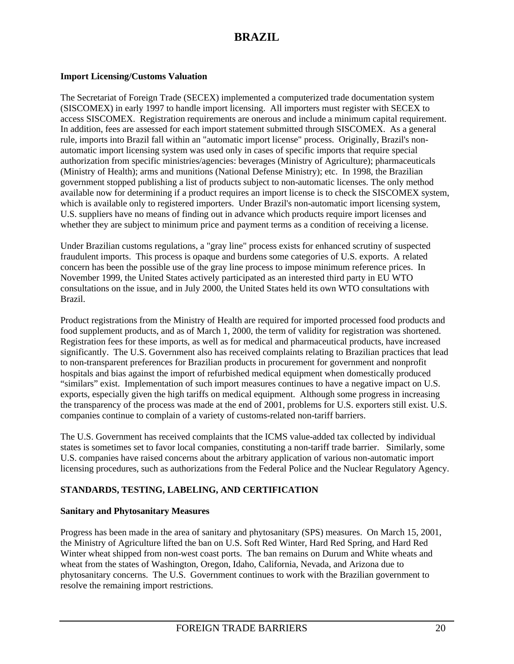### **Import Licensing/Customs Valuation**

The Secretariat of Foreign Trade (SECEX) implemented a computerized trade documentation system (SISCOMEX) in early 1997 to handle import licensing. All importers must register with SECEX to access SISCOMEX. Registration requirements are onerous and include a minimum capital requirement. In addition, fees are assessed for each import statement submitted through SISCOMEX. As a general rule, imports into Brazil fall within an "automatic import license" process. Originally, Brazil's nonautomatic import licensing system was used only in cases of specific imports that require special authorization from specific ministries/agencies: beverages (Ministry of Agriculture); pharmaceuticals (Ministry of Health); arms and munitions (National Defense Ministry); etc. In 1998, the Brazilian government stopped publishing a list of products subject to non-automatic licenses. The only method available now for determining if a product requires an import license is to check the SISCOMEX system, which is available only to registered importers. Under Brazil's non-automatic import licensing system, U.S. suppliers have no means of finding out in advance which products require import licenses and whether they are subject to minimum price and payment terms as a condition of receiving a license.

Under Brazilian customs regulations, a "gray line" process exists for enhanced scrutiny of suspected fraudulent imports. This process is opaque and burdens some categories of U.S. exports. A related concern has been the possible use of the gray line process to impose minimum reference prices. In November 1999, the United States actively participated as an interested third party in EU WTO consultations on the issue, and in July 2000, the United States held its own WTO consultations with Brazil.

Product registrations from the Ministry of Health are required for imported processed food products and food supplement products, and as of March 1, 2000, the term of validity for registration was shortened. Registration fees for these imports, as well as for medical and pharmaceutical products, have increased significantly. The U.S. Government also has received complaints relating to Brazilian practices that lead to non-transparent preferences for Brazilian products in procurement for government and nonprofit hospitals and bias against the import of refurbished medical equipment when domestically produced "similars" exist. Implementation of such import measures continues to have a negative impact on U.S. exports, especially given the high tariffs on medical equipment. Although some progress in increasing the transparency of the process was made at the end of 2001, problems for U.S. exporters still exist. U.S. companies continue to complain of a variety of customs-related non-tariff barriers.

The U.S. Government has received complaints that the ICMS value-added tax collected by individual states is sometimes set to favor local companies, constituting a non-tariff trade barrier. Similarly, some U.S. companies have raised concerns about the arbitrary application of various non-automatic import licensing procedures, such as authorizations from the Federal Police and the Nuclear Regulatory Agency.

### **STANDARDS, TESTING, LABELING, AND CERTIFICATION**

#### **Sanitary and Phytosanitary Measures**

Progress has been made in the area of sanitary and phytosanitary (SPS) measures. On March 15, 2001, the Ministry of Agriculture lifted the ban on U.S. Soft Red Winter, Hard Red Spring, and Hard Red Winter wheat shipped from non-west coast ports. The ban remains on Durum and White wheats and wheat from the states of Washington, Oregon, Idaho, California, Nevada, and Arizona due to phytosanitary concerns. The U.S. Government continues to work with the Brazilian government to resolve the remaining import restrictions.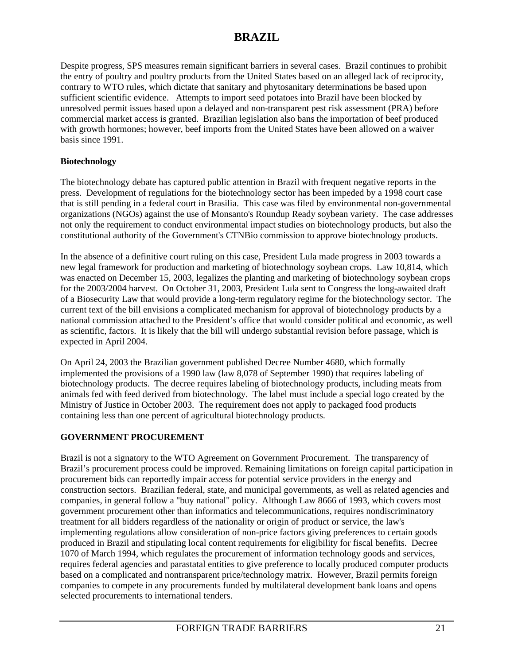Despite progress, SPS measures remain significant barriers in several cases. Brazil continues to prohibit the entry of poultry and poultry products from the United States based on an alleged lack of reciprocity, contrary to WTO rules, which dictate that sanitary and phytosanitary determinations be based upon sufficient scientific evidence. Attempts to import seed potatoes into Brazil have been blocked by unresolved permit issues based upon a delayed and non-transparent pest risk assessment (PRA) before commercial market access is granted. Brazilian legislation also bans the importation of beef produced with growth hormones; however, beef imports from the United States have been allowed on a waiver basis since 1991.

### **Biotechnology**

The biotechnology debate has captured public attention in Brazil with frequent negative reports in the press. Development of regulations for the biotechnology sector has been impeded by a 1998 court case that is still pending in a federal court in Brasilia. This case was filed by environmental non-governmental organizations (NGOs) against the use of Monsanto's Roundup Ready soybean variety. The case addresses not only the requirement to conduct environmental impact studies on biotechnology products, but also the constitutional authority of the Government's CTNBio commission to approve biotechnology products.

In the absence of a definitive court ruling on this case, President Lula made progress in 2003 towards a new legal framework for production and marketing of biotechnology soybean crops. Law 10,814, which was enacted on December 15, 2003, legalizes the planting and marketing of biotechnology soybean crops for the 2003/2004 harvest. On October 31, 2003, President Lula sent to Congress the long-awaited draft of a Biosecurity Law that would provide a long-term regulatory regime for the biotechnology sector. The current text of the bill envisions a complicated mechanism for approval of biotechnology products by a national commission attached to the President's office that would consider political and economic, as well as scientific, factors. It is likely that the bill will undergo substantial revision before passage, which is expected in April 2004.

On April 24, 2003 the Brazilian government published Decree Number 4680, which formally implemented the provisions of a 1990 law (law 8,078 of September 1990) that requires labeling of biotechnology products. The decree requires labeling of biotechnology products, including meats from animals fed with feed derived from biotechnology. The label must include a special logo created by the Ministry of Justice in October 2003. The requirement does not apply to packaged food products containing less than one percent of agricultural biotechnology products.

#### **GOVERNMENT PROCUREMENT**

Brazil is not a signatory to the WTO Agreement on Government Procurement. The transparency of Brazil's procurement process could be improved. Remaining limitations on foreign capital participation in procurement bids can reportedly impair access for potential service providers in the energy and construction sectors. Brazilian federal, state, and municipal governments, as well as related agencies and companies, in general follow a "buy national" policy. Although Law 8666 of 1993, which covers most government procurement other than informatics and telecommunications, requires nondiscriminatory treatment for all bidders regardless of the nationality or origin of product or service, the law's implementing regulations allow consideration of non-price factors giving preferences to certain goods produced in Brazil and stipulating local content requirements for eligibility for fiscal benefits. Decree 1070 of March 1994, which regulates the procurement of information technology goods and services, requires federal agencies and parastatal entities to give preference to locally produced computer products based on a complicated and nontransparent price/technology matrix. However, Brazil permits foreign companies to compete in any procurements funded by multilateral development bank loans and opens selected procurements to international tenders.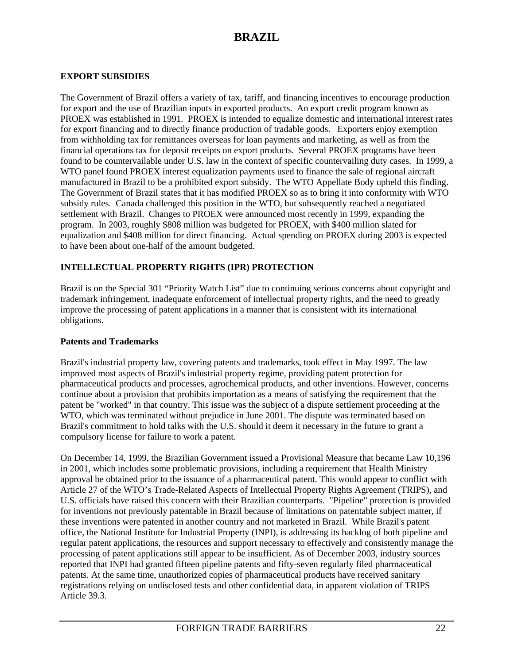### **EXPORT SUBSIDIES**

The Government of Brazil offers a variety of tax, tariff, and financing incentives to encourage production for export and the use of Brazilian inputs in exported products. An export credit program known as PROEX was established in 1991. PROEX is intended to equalize domestic and international interest rates for export financing and to directly finance production of tradable goods. Exporters enjoy exemption from withholding tax for remittances overseas for loan payments and marketing, as well as from the financial operations tax for deposit receipts on export products. Several PROEX programs have been found to be countervailable under U.S. law in the context of specific countervailing duty cases. In 1999, a WTO panel found PROEX interest equalization payments used to finance the sale of regional aircraft manufactured in Brazil to be a prohibited export subsidy. The WTO Appellate Body upheld this finding. The Government of Brazil states that it has modified PROEX so as to bring it into conformity with WTO subsidy rules. Canada challenged this position in the WTO, but subsequently reached a negotiated settlement with Brazil. Changes to PROEX were announced most recently in 1999, expanding the program. In 2003, roughly \$808 million was budgeted for PROEX, with \$400 million slated for equalization and \$408 million for direct financing. Actual spending on PROEX during 2003 is expected to have been about one-half of the amount budgeted.

### **INTELLECTUAL PROPERTY RIGHTS (IPR) PROTECTION**

Brazil is on the Special 301 "Priority Watch List" due to continuing serious concerns about copyright and trademark infringement, inadequate enforcement of intellectual property rights, and the need to greatly improve the processing of patent applications in a manner that is consistent with its international obligations.

### **Patents and Trademarks**

Brazil's industrial property law, covering patents and trademarks, took effect in May 1997. The law improved most aspects of Brazil's industrial property regime, providing patent protection for pharmaceutical products and processes, agrochemical products, and other inventions. However, concerns continue about a provision that prohibits importation as a means of satisfying the requirement that the patent be "worked" in that country. This issue was the subject of a dispute settlement proceeding at the WTO, which was terminated without prejudice in June 2001. The dispute was terminated based on Brazil's commitment to hold talks with the U.S. should it deem it necessary in the future to grant a compulsory license for failure to work a patent.

On December 14, 1999, the Brazilian Government issued a Provisional Measure that became Law 10,196 in 2001, which includes some problematic provisions, including a requirement that Health Ministry approval be obtained prior to the issuance of a pharmaceutical patent. This would appear to conflict with Article 27 of the WTO's Trade-Related Aspects of Intellectual Property Rights Agreement (TRIPS), and U.S. officials have raised this concern with their Brazilian counterparts. "Pipeline" protection is provided for inventions not previously patentable in Brazil because of limitations on patentable subject matter, if these inventions were patented in another country and not marketed in Brazil. While Brazil's patent office, the National Institute for Industrial Property (INPI), is addressing its backlog of both pipeline and regular patent applications, the resources and support necessary to effectively and consistently manage the processing of patent applications still appear to be insufficient. As of December 2003, industry sources reported that INPI had granted fifteen pipeline patents and fifty-seven regularly filed pharmaceutical patents. At the same time, unauthorized copies of pharmaceutical products have received sanitary registrations relying on undisclosed tests and other confidential data, in apparent violation of TRIPS Article 39.3.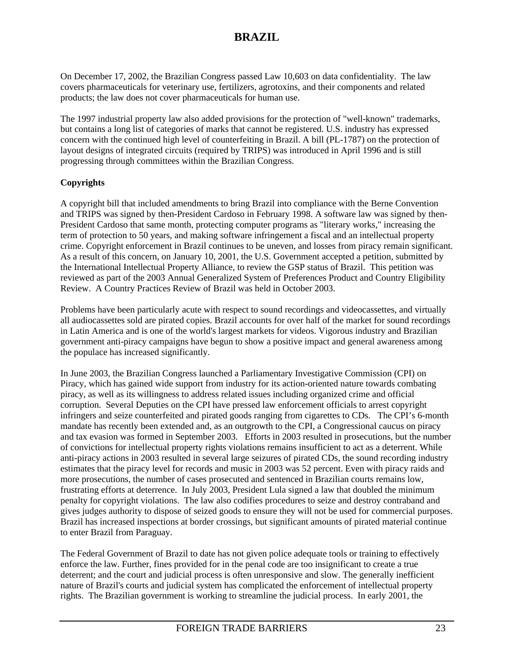On December 17, 2002, the Brazilian Congress passed Law 10,603 on data confidentiality. The law covers pharmaceuticals for veterinary use, fertilizers, agrotoxins, and their components and related products; the law does not cover pharmaceuticals for human use.

The 1997 industrial property law also added provisions for the protection of "well-known" trademarks, but contains a long list of categories of marks that cannot be registered. U.S. industry has expressed concern with the continued high level of counterfeiting in Brazil. A bill (PL-1787) on the protection of layout designs of integrated circuits (required by TRIPS) was introduced in April 1996 and is still progressing through committees within the Brazilian Congress.

### **Copyrights**

A copyright bill that included amendments to bring Brazil into compliance with the Berne Convention and TRIPS was signed by then-President Cardoso in February 1998. A software law was signed by then-President Cardoso that same month, protecting computer programs as "literary works," increasing the term of protection to 50 years, and making software infringement a fiscal and an intellectual property crime. Copyright enforcement in Brazil continues to be uneven, and losses from piracy remain significant. As a result of this concern, on January 10, 2001, the U.S. Government accepted a petition, submitted by the International Intellectual Property Alliance, to review the GSP status of Brazil. This petition was reviewed as part of the 2003 Annual Generalized System of Preferences Product and Country Eligibility Review. A Country Practices Review of Brazil was held in October 2003.

Problems have been particularly acute with respect to sound recordings and videocassettes, and virtually all audiocassettes sold are pirated copies. Brazil accounts for over half of the market for sound recordings in Latin America and is one of the world's largest markets for videos. Vigorous industry and Brazilian government anti-piracy campaigns have begun to show a positive impact and general awareness among the populace has increased significantly.

In June 2003, the Brazilian Congress launched a Parliamentary Investigative Commission (CPI) on Piracy, which has gained wide support from industry for its action-oriented nature towards combating piracy, as well as its willingness to address related issues including organized crime and official corruption. Several Deputies on the CPI have pressed law enforcement officials to arrest copyright infringers and seize counterfeited and pirated goods ranging from cigarettes to CDs. The CPI's 6-month mandate has recently been extended and, as an outgrowth to the CPI, a Congressional caucus on piracy and tax evasion was formed in September 2003. Efforts in 2003 resulted in prosecutions, but the number of convictions for intellectual property rights violations remains insufficient to act as a deterrent. While anti-piracy actions in 2003 resulted in several large seizures of pirated CDs, the sound recording industry estimates that the piracy level for records and music in 2003 was 52 percent. Even with piracy raids and more prosecutions, the number of cases prosecuted and sentenced in Brazilian courts remains low, frustrating efforts at deterrence. In July 2003, President Lula signed a law that doubled the minimum penalty for copyright violations. The law also codifies procedures to seize and destroy contraband and gives judges authority to dispose of seized goods to ensure they will not be used for commercial purposes. Brazil has increased inspections at border crossings, but significant amounts of pirated material continue to enter Brazil from Paraguay.

The Federal Government of Brazil to date has not given police adequate tools or training to effectively enforce the law. Further, fines provided for in the penal code are too insignificant to create a true deterrent; and the court and judicial process is often unresponsive and slow. The generally inefficient nature of Brazil's courts and judicial system has complicated the enforcement of intellectual property rights. The Brazilian government is working to streamline the judicial process. In early 2001, the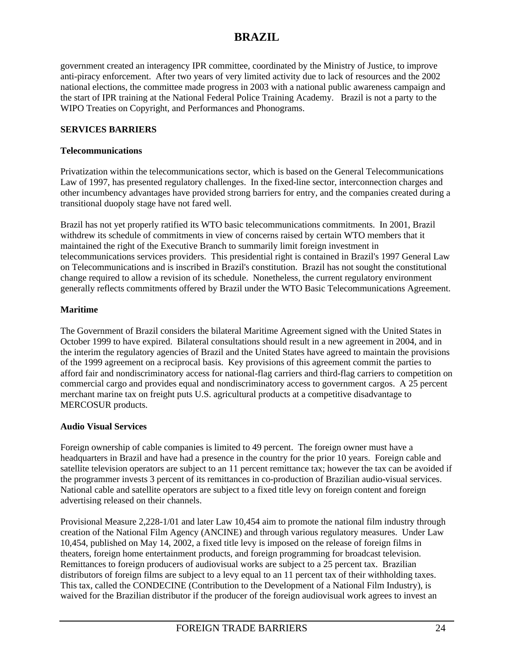government created an interagency IPR committee, coordinated by the Ministry of Justice, to improve anti-piracy enforcement. After two years of very limited activity due to lack of resources and the 2002 national elections, the committee made progress in 2003 with a national public awareness campaign and the start of IPR training at the National Federal Police Training Academy. Brazil is not a party to the WIPO Treaties on Copyright, and Performances and Phonograms.

### **SERVICES BARRIERS**

#### **Telecommunications**

Privatization within the telecommunications sector, which is based on the General Telecommunications Law of 1997, has presented regulatory challenges. In the fixed-line sector, interconnection charges and other incumbency advantages have provided strong barriers for entry, and the companies created during a transitional duopoly stage have not fared well.

Brazil has not yet properly ratified its WTO basic telecommunications commitments. In 2001, Brazil withdrew its schedule of commitments in view of concerns raised by certain WTO members that it maintained the right of the Executive Branch to summarily limit foreign investment in telecommunications services providers. This presidential right is contained in Brazil's 1997 General Law on Telecommunications and is inscribed in Brazil's constitution. Brazil has not sought the constitutional change required to allow a revision of its schedule. Nonetheless, the current regulatory environment generally reflects commitments offered by Brazil under the WTO Basic Telecommunications Agreement.

### **Maritime**

The Government of Brazil considers the bilateral Maritime Agreement signed with the United States in October 1999 to have expired. Bilateral consultations should result in a new agreement in 2004, and in the interim the regulatory agencies of Brazil and the United States have agreed to maintain the provisions of the 1999 agreement on a reciprocal basis. Key provisions of this agreement commit the parties to afford fair and nondiscriminatory access for national-flag carriers and third-flag carriers to competition on commercial cargo and provides equal and nondiscriminatory access to government cargos. A 25 percent merchant marine tax on freight puts U.S. agricultural products at a competitive disadvantage to MERCOSUR products.

### **Audio Visual Services**

Foreign ownership of cable companies is limited to 49 percent. The foreign owner must have a headquarters in Brazil and have had a presence in the country for the prior 10 years. Foreign cable and satellite television operators are subject to an 11 percent remittance tax; however the tax can be avoided if the programmer invests 3 percent of its remittances in co-production of Brazilian audio-visual services. National cable and satellite operators are subject to a fixed title levy on foreign content and foreign advertising released on their channels.

Provisional Measure 2,228-1/01 and later Law 10,454 aim to promote the national film industry through creation of the National Film Agency (ANCINE) and through various regulatory measures. Under Law 10,454, published on May 14, 2002, a fixed title levy is imposed on the release of foreign films in theaters, foreign home entertainment products, and foreign programming for broadcast television. Remittances to foreign producers of audiovisual works are subject to a 25 percent tax. Brazilian distributors of foreign films are subject to a levy equal to an 11 percent tax of their withholding taxes. This tax, called the CONDECINE (Contribution to the Development of a National Film Industry), is waived for the Brazilian distributor if the producer of the foreign audiovisual work agrees to invest an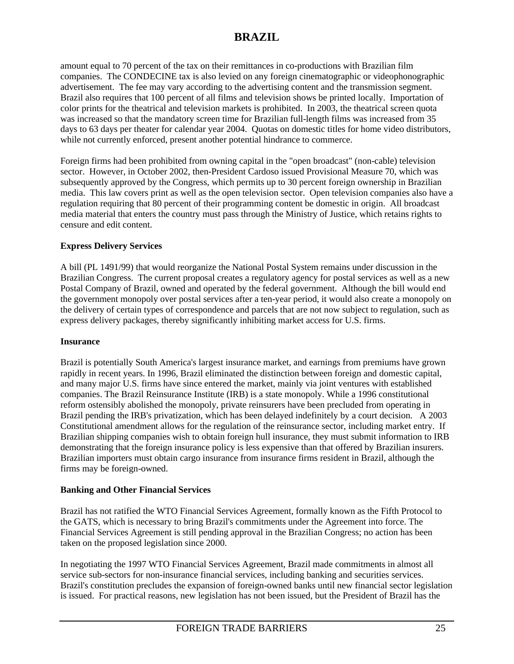amount equal to 70 percent of the tax on their remittances in co-productions with Brazilian film companies. The CONDECINE tax is also levied on any foreign cinematographic or videophonographic advertisement. The fee may vary according to the advertising content and the transmission segment. Brazil also requires that 100 percent of all films and television shows be printed locally. Importation of color prints for the theatrical and television markets is prohibited. In 2003, the theatrical screen quota was increased so that the mandatory screen time for Brazilian full-length films was increased from 35 days to 63 days per theater for calendar year 2004. Quotas on domestic titles for home video distributors, while not currently enforced, present another potential hindrance to commerce.

Foreign firms had been prohibited from owning capital in the "open broadcast" (non-cable) television sector. However, in October 2002, then-President Cardoso issued Provisional Measure 70, which was subsequently approved by the Congress, which permits up to 30 percent foreign ownership in Brazilian media. This law covers print as well as the open television sector. Open television companies also have a regulation requiring that 80 percent of their programming content be domestic in origin. All broadcast media material that enters the country must pass through the Ministry of Justice, which retains rights to censure and edit content.

### **Express Delivery Services**

A bill (PL 1491/99) that would reorganize the National Postal System remains under discussion in the Brazilian Congress. The current proposal creates a regulatory agency for postal services as well as a new Postal Company of Brazil, owned and operated by the federal government. Although the bill would end the government monopoly over postal services after a ten-year period, it would also create a monopoly on the delivery of certain types of correspondence and parcels that are not now subject to regulation, such as express delivery packages, thereby significantly inhibiting market access for U.S. firms.

#### **Insurance**

Brazil is potentially South America's largest insurance market, and earnings from premiums have grown rapidly in recent years. In 1996, Brazil eliminated the distinction between foreign and domestic capital, and many major U.S. firms have since entered the market, mainly via joint ventures with established companies. The Brazil Reinsurance Institute (IRB) is a state monopoly. While a 1996 constitutional reform ostensibly abolished the monopoly, private reinsurers have been precluded from operating in Brazil pending the IRB's privatization, which has been delayed indefinitely by a court decision. A 2003 Constitutional amendment allows for the regulation of the reinsurance sector, including market entry. If Brazilian shipping companies wish to obtain foreign hull insurance, they must submit information to IRB demonstrating that the foreign insurance policy is less expensive than that offered by Brazilian insurers. Brazilian importers must obtain cargo insurance from insurance firms resident in Brazil, although the firms may be foreign-owned.

#### **Banking and Other Financial Services**

Brazil has not ratified the WTO Financial Services Agreement, formally known as the Fifth Protocol to the GATS, which is necessary to bring Brazil's commitments under the Agreement into force. The Financial Services Agreement is still pending approval in the Brazilian Congress; no action has been taken on the proposed legislation since 2000.

In negotiating the 1997 WTO Financial Services Agreement, Brazil made commitments in almost all service sub-sectors for non-insurance financial services, including banking and securities services. Brazil's constitution precludes the expansion of foreign-owned banks until new financial sector legislation is issued. For practical reasons, new legislation has not been issued, but the President of Brazil has the